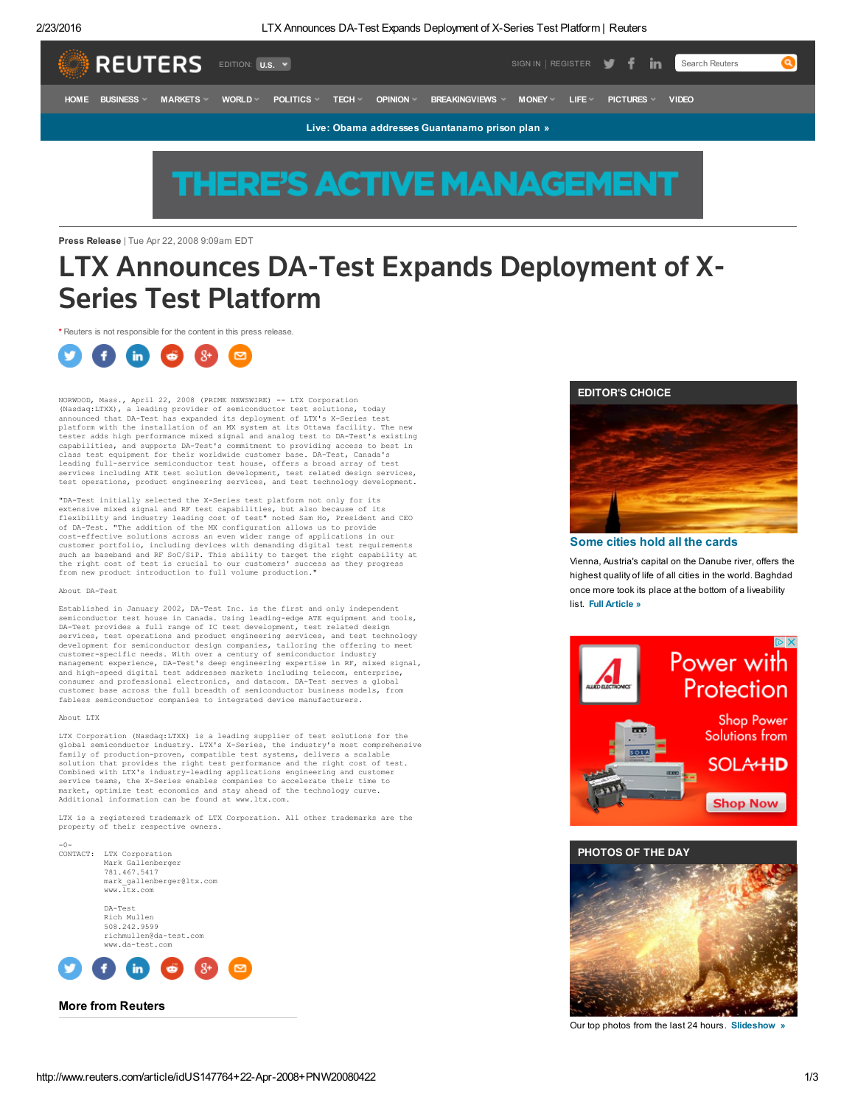2/23/2016 LTX Announces DA-Test Expands Deployment of X-Series Test Platform | Reuters



# **THERE'S ACTIVE MANAGEMENT**

Press Release | Tue Apr 22, 2008 9:09am EDT

## LTX Announces DA-Test Expands Deployment of X-Series Test Platform

\* Reuters is not responsible for the content in this press release.



NORWOOD, Mass., April 22, 2008 (PRIME NEWSWIRE) -- LTX Corporation (Nasdaq:LTXX), a leading provider of semiconductor test solutions, today announced that DA-Test has expanded its deployment of LTX's X-Series test<br>platform with the installation of an MX system at its Ottawa facility. The new<br>tester adds high performance mixed signal and analog test to DA-Test' class test equipment for their worldwide customer base. DA-Test, Canada's leading full-service semiconductor test house, offers a broad array of test services including ATE test solution development, test related design services, test operations, product engineering services, and test technology development.

"DA-Test initially selected the X-Series test platform not only for its extensive mixed signal and RF test capabilities, but also because of its flexibility and industry leading cost of test" noted Sam Ho, President and CEO of DA-Test. "The addition of the MX configuration allows us to provide cost-effective solutions across an even wider range of applications in our customer portfolio, including devices with demanding digital test requirements<br>such as baseband and RF SoC/SiP. This ability to target the right capability at<br>the right cost of test is crucial to our customers' success as from new product introduction to full volume production."

### About DA-Test

Established in January 2002, DA-Test Inc. is the first and only independent semiconductor test house in Canada. Using leading-edge ATE equipment and tools, DA-Test provides a full range of IC test development, test related design services, test operations and product engineering services, and test technology development for semiconductor design companies, tailoring the offering to meet customer-specific needs. With over a century of semiconductor industry management experience, DA-Test's deep engineering expertise in RF, mixed signal, and high-speed digital test addresses markets including telecom, enterprise,<br>consumer and professional electronics, and datacom. DA-Test serves a global<br>customer base across the full breadth of semiconductor business model fabless semiconductor companies to integrated device manufacturers.

### About LTX

LTX Corporation (Nasdaq:LTXX) is a leading supplier of test solutions for the<br>global semiconductor industry. LTX's X-Series, the industry's most comprehensive<br>family of production-proven, compatible test systems, delivers solution that provides the right test performance and the right cost of test.<br>Combined with LTX's industry-leading applications engineering and customer<br>service teams, the X-Series enables companies to accelerate their tim market, optimize test economics and stay ahead of the technology curve. Additional information can be found at www.ltx.com.

LTX is a registered trademark of LTX Corporation. All other trademarks are the property of their respective owners.

-0- CONTACT: LTX Corporation Mark Gallenberger 781.467.5417 mark\_gallenberger@ltx.com www.ltx.com DA-Test

Rich Mullen 508.242.9599 richmullen@da-test.com www.da-test.com



### EDITOR'S CHOICE



### [Some](http://www.reuters.com/article/us-global-cities-idUSKCN0VW0OI?=rrpromo) cities hold all the cards

Vienna, Austria's capital on the Danube river, offers the highest quality of life of all cities in the world. Baghdad once more took its place at the bottom of a liveability list. Full [Article](http://www.reuters.com/article/us-global-cities-idUSKCN0VW0OI?=rrpromo) »







Our top photos from the last 24 hours. [Slideshow](http://www.reuters.com/news/picture/editors-choice?articleId=USRTX28689) »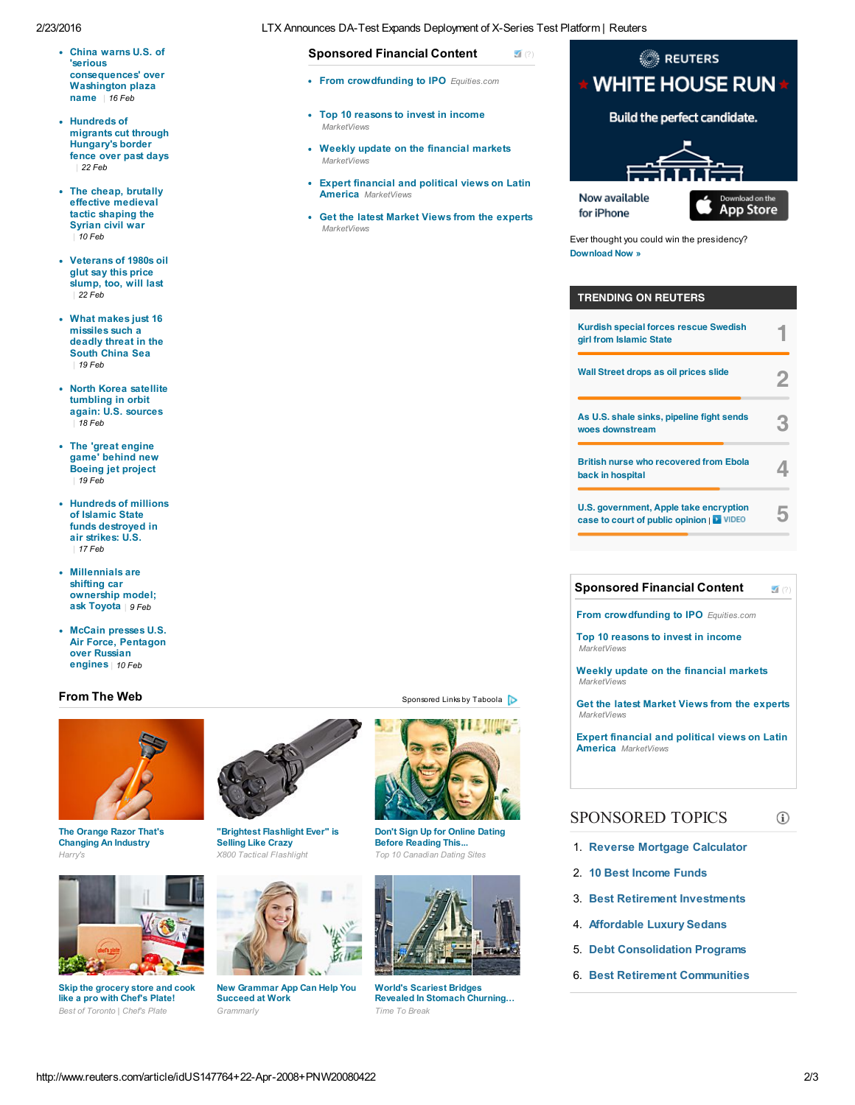### 2/23/2016 LTX Announces DA-Test Expands Deployment of X-Series Test Platform | Reuters

- China warns U.S. of 'serious [consequences'](http://www.reuters.com/article/us-usa-diplomacy-congress-china-idUSKCN0VP0SG) over Washington plaza name | 16 Feb
- Hundreds of migrants cut through [Hungary's](http://www.reuters.com/article/us-europe-migrants-hungary-fence-idUSKCN0VV1ES) border fence over past days | 22 Feb
- The cheap, brutally effective [medieval](http://blogs.reuters.com/great-debate/2016/02/10/the-cheap-brutally-effective-medieval-tactic-shaping-the-syrian-civil-war/) tactic shaping the Syrian civil war  $10$  Feb
- [Veterans](http://www.reuters.com/article/us-ceraweek-glut-idUSKCN0VV0O2) of 1980s oil glut say this price slump, too, will last | 22 Feb
- What makes just 16 [missiles](http://blogs.reuters.com/great-debate/2016/02/19/what-makes-just-16-missiles-such-a-deadly-threat-in-the-south-china-sea/) such a deadly threat in the South China Sea | 19 Feb
- North Korea satellite [tumbling](http://www.reuters.com/article/us-northkorea-satellite-idUSKCN0VR2R3) in orbit again: U.S. sources | 18 Feb
- The 'great engine game' behind new [Boeing](http://www.reuters.com/article/us-singapore-airshow-engines-insight-idUSKCN0VS204) jet project | 19 Feb
- Hundreds of millions of Islamic State funds [destroyed](http://www.reuters.com/article/us-mideast-crisis-islamicstate-cash-idUSKCN0VQ2FJ) in air strikes: U.S. | 17 Feb
- [Millennials](http://www.reuters.com/article/us-autos-toyota-millennials-idUSKCN0VI295) are shifting car ownership model; ask Toyota | 9 Feb
- McCain presses U.S. Air Force, [Pentagon](http://www.reuters.com/article/us-usa-space-russia-idUSKCN0VJ2LT) over Russian engines | 10 Feb

### From The Web [Sponsored](http://popup.taboola.com/en/?template=colorbox&taboola_utm_source=reuters-reuters&taboola_utm_medium=bytaboola&taboola_utm_content=thumbs-2r:below-main-column:) Links by [Taboola](http://popup.taboola.com/en/?template=colorbox&taboola_utm_source=reuters-reuters&taboola_utm_medium=bytaboola&taboola_utm_content=thumbs-2r:below-main-column:)



Harry's **The Contract Contract Contract Contract Contract Contract Contract Contract Contract Contract Contract Contract Contract Contract Contract Contract Contract Contract Contract Contract Contract Contract Contract Co** The Orange Razor That's Changing An Industry



Best of Toronto | Chef's Plate Grammarly Skip the grocery store and cook like a pro with Chef's Plate!



"Brightest Flashlight Ever" is Selling Like Crazy



New Grammar App Can Help You Succeed at Work



Don't Sign Up for Online Dating Before Reading This...



World's Scariest Bridges Revealed In Stomach Churning… Time To Break

## **REUTERS WHITE HOUSE RUN ★** Build the perfect candidate.

Now available for iPhone

 $\sqrt{(?)}$  $\sqrt{(?)}$  $\sqrt{(?)}$ 

• From crowdfunding to IPO Equities.com

Weekly update on the financial markets

Expert financial and political views on Latin

Get the latest Market Views from the experts

Top 10 reasons to invest in income

Sponsored Financial Content

**MarketViews** 

 $MarketVi$ ey

MarketViews

America MarketViews



Ever thought you could win the presidency? [Download](https://itunes.apple.com/us/app/white-house-run/id1077919545) Now »

### TRENDING ON REUTERS

| <b>Kurdish special forces rescue Swedish</b><br>girl from Islamic State             |  |
|-------------------------------------------------------------------------------------|--|
| Wall Street drops as oil prices slide                                               |  |
| As U.S. shale sinks, pipeline fight sends<br>woes downstream                        |  |
| <b>British nurse who recovered from Ebola</b><br>back in hospital                   |  |
| U.S. government, Apple take encryption<br>case to court of public opinion   L VIDEO |  |

#### ■[\(?\)](http://www.dianomi.com/cms/register-interest/?utm_source=network&utm_medium=smartad_sponsor_link) Sponsored Financial Content

From crowdfunding to IPO Equities.com

Top 10 reasons to invest in income **MarketViews** 

Weekly update on the financial markets MarketView

Get the latest Market Views from the experts **MarketViews** 

Expert financial and political views on Latin America MarketViews

### SPONSORED TOPICS

- 1. Reverse Mortgage [Calculator](http://search2.media.net/Reverse_Mortgage_Calculator.cfm?&vsid=992437450478668&vi=1456242150838220762&dytm=1456242151654&rtbsd=6&verid=111299&hvsid=00001456242151260035122047866798&upk=1456242151.19156&sttm=1456242151260&=&kp=1&kbc=1200798881&kt=244&ki=24404760&ktd=228698452262912&kbc2=||l=1016||&fdkt=244&fp=663ebxYAjC4RisuJH4VORPGU2IkfkufmI%2Bpcy7iwB7BE3CoOrcGfyQkZP%2B8HPwLWIJvjZoyGG7HCyYwyGoSGKEDauGQA%2F6P6wg1bJ8PgFqqYL33%2FXI%2B5RQ%3D%3D&c=1LWbGuIR3I1EiQTBKV2E3Q&cme=j2dULSOmZFXVmtwwMko4eZmCfY4h82O2pq4Hfd4alIdH1QQJKA6%2BahvRVHxTRCxz1td3Q1NeGAoKryhpkVhysyJMggsoJiFlDQQe3eg33qxQRfSET4pDpQdUYm7iaOcFZ7wM8Wxerx5hFDu9zIFhHJJi6vGte5jI41c4poh099sHPWbJk4wB%2BaLmkbHkbKk3%7C%7CNDHRnZ9Gz3KXlI%2Bi9OnZqQ%3D%3D%7C5gDUJdTGiJzedmq9hanWYg%3D%3D%7CN7fu2vKt8%2Fs%3D%7CFcl4VLL%2BIaKov1aQQ4rz0DPXnfOLjJdi4LI%2FnIV56IKYhkmCMocMYzJ8QWXAfzTZZsUWuTse5MLE%2BdP0VHbj4%2FqP9wPjbQGGmuiqodiXjgMucqT0xIuiZA%3D%3D%7CsRBSg3CPSiQ%3D%7CuuLXFu0BM%2FnDUO8JSzJAGblAGflH9T284xgMFan9uk8MieT3mwsGzA%3D%3D%7C&cid=8CUG1D56B&crid=133993882&size=300x250&lpid=&tsid=1&ksu=135&chid=&https=0&extKwds=0&kwdsMaxTm=400&ugd=4&maxProviderPixel=&rms=1456242152&&abpl=2)
- 2. 10 Best [Income](http://search2.media.net/10_Best_Income_Funds.cfm?&vsid=992437450478668&vi=1456242150838220762&dytm=1456242151654&rtbsd=6&verid=111299&hvsid=00001456242151260035122047866798&upk=1456242151.19156&sttm=1456242151260&=&tdAdd[]=%7C%40%7Cabp%3A3%3A2&kp=2&kbc=1200798881&kt=244&ki=321804436&ktd=228698452262912&kbc2=||l=1016||&fdkt=244&fp=663ebxYAjC4RisuJH4VORPGU2IkfkufmI%2Bpcy7iwB7BE3CoOrcGfyQkZP%2B8HPwLWIJvjZoyGG7HCyYwyGoSGKEDauGQA%2F6P6wg1bJ8PgFqqYL33%2FXI%2B5RQ%3D%3D&c=1LWbGuIR3I1EiQTBKV2E3Q&cme=j2dULSOmZFXVmtwwMko4eZmCfY4h82O2pq4Hfd4alIdH1QQJKA6%2BahvRVHxTRCxz1td3Q1NeGAoKryhpkVhysyJMggsoJiFlDQQe3eg33qxQRfSET4pDpQdUYm7iaOcFZ7wM8Wxerx5hFDu9zIFhHJJi6vGte5jI41c4poh099sHPWbJk4wB%2BaLmkbHkbKk3%7C%7CNDHRnZ9Gz3KXlI%2Bi9OnZqQ%3D%3D%7C5gDUJdTGiJzedmq9hanWYg%3D%3D%7CN7fu2vKt8%2Fs%3D%7CFcl4VLL%2BIaKov1aQQ4rz0DPXnfOLjJdi4LI%2FnIV56IKYhkmCMocMYzJ8QWXAfzTZZsUWuTse5MLE%2BdP0VHbj4%2FqP9wPjbQGGmuiqodiXjgMucqT0xIuiZA%3D%3D%7CsRBSg3CPSiQ%3D%7CuuLXFu0BM%2FnDUO8JSzJAGblAGflH9T284xgMFan9uk8MieT3mwsGzA%3D%3D%7C&cid=8CUG1D56B&crid=133993882&size=300x250&lpid=&tsid=1&ksu=135&chid=&https=0&extKwds=0&kwdsMaxTm=400&ugd=4&maxProviderPixel=&rms=1456242152&&abpl=2) Funds
- 3. Best Retirement [Investments](http://search2.media.net/Best_Retirement_Investments.cfm?&vsid=992437450478668&vi=1456242150838220762&dytm=1456242151654&rtbsd=6&verid=111299&hvsid=00001456242151260035122047866798&upk=1456242151.19156&sttm=1456242151260&=&tdAdd[]=%7C%40%7Cabp%3A3%3A2&tdAdd[]=%7C%40%7Cabp%3A3%3A2&kp=3&kbc=1200798881&kt=244&ki=48986873&ktd=228698452262912&kbc2=||l=1016||&fdkt=244&fp=663ebxYAjC4RisuJH4VORPGU2IkfkufmI%2Bpcy7iwB7BE3CoOrcGfyQkZP%2B8HPwLWIJvjZoyGG7HCyYwyGoSGKEDauGQA%2F6P6wg1bJ8PgFqqYL33%2FXI%2B5RQ%3D%3D&c=1LWbGuIR3I1EiQTBKV2E3Q&cme=j2dULSOmZFXVmtwwMko4eZmCfY4h82O2pq4Hfd4alIdH1QQJKA6%2BahvRVHxTRCxz1td3Q1NeGAoKryhpkVhysyJMggsoJiFlDQQe3eg33qxQRfSET4pDpQdUYm7iaOcFZ7wM8Wxerx5hFDu9zIFhHJJi6vGte5jI41c4poh099sHPWbJk4wB%2BaLmkbHkbKk3%7C%7CNDHRnZ9Gz3KXlI%2Bi9OnZqQ%3D%3D%7C5gDUJdTGiJzedmq9hanWYg%3D%3D%7CN7fu2vKt8%2Fs%3D%7CFcl4VLL%2BIaKov1aQQ4rz0DPXnfOLjJdi4LI%2FnIV56IKYhkmCMocMYzJ8QWXAfzTZZsUWuTse5MLE%2BdP0VHbj4%2FqP9wPjbQGGmuiqodiXjgMucqT0xIuiZA%3D%3D%7CsRBSg3CPSiQ%3D%7CuuLXFu0BM%2FnDUO8JSzJAGblAGflH9T284xgMFan9uk8MieT3mwsGzA%3D%3D%7C&cid=8CUG1D56B&crid=133993882&size=300x250&lpid=&tsid=1&ksu=135&chid=&https=0&extKwds=0&kwdsMaxTm=400&ugd=4&maxProviderPixel=&rms=1456242152&&abpl=2)
- 4. [Affordable](http://search2.media.net/Affordable_Luxury_Sedans.cfm?&vsid=992437450478668&vi=1456242150838220762&dytm=1456242151654&rtbsd=6&verid=111299&hvsid=00001456242151260035122047866798&upk=1456242151.19156&sttm=1456242151260&=&tdAdd[]=%7C%40%7Cabp%3A3%3A2&tdAdd[]=%7C%40%7Cabp%3A3%3A2&tdAdd[]=%7C%40%7Cabp%3A3%3A2&kp=4&kbc=1200798881&kt=244&ki=314408846&ktd=228698452262912&kbc2=||l=1016||&fdkt=244&fp=663ebxYAjC4RisuJH4VORPGU2IkfkufmI%2Bpcy7iwB7BE3CoOrcGfyQkZP%2B8HPwLWIJvjZoyGG7HCyYwyGoSGKEDauGQA%2F6P6wg1bJ8PgFqqYL33%2FXI%2B5RQ%3D%3D&c=1LWbGuIR3I1EiQTBKV2E3Q&cme=j2dULSOmZFXVmtwwMko4eZmCfY4h82O2pq4Hfd4alIdH1QQJKA6%2BahvRVHxTRCxz1td3Q1NeGAoKryhpkVhysyJMggsoJiFlDQQe3eg33qxQRfSET4pDpQdUYm7iaOcFZ7wM8Wxerx5hFDu9zIFhHJJi6vGte5jI41c4poh099sHPWbJk4wB%2BaLmkbHkbKk3%7C%7CNDHRnZ9Gz3KXlI%2Bi9OnZqQ%3D%3D%7C5gDUJdTGiJzedmq9hanWYg%3D%3D%7CN7fu2vKt8%2Fs%3D%7CFcl4VLL%2BIaKov1aQQ4rz0DPXnfOLjJdi4LI%2FnIV56IKYhkmCMocMYzJ8QWXAfzTZZsUWuTse5MLE%2BdP0VHbj4%2FqP9wPjbQGGmuiqodiXjgMucqT0xIuiZA%3D%3D%7CsRBSg3CPSiQ%3D%7CuuLXFu0BM%2FnDUO8JSzJAGblAGflH9T284xgMFan9uk8MieT3mwsGzA%3D%3D%7C&cid=8CUG1D56B&crid=133993882&size=300x250&lpid=&tsid=1&ksu=135&chid=&https=0&extKwds=0&kwdsMaxTm=400&ugd=4&maxProviderPixel=&rms=1456242152&&abpl=2) Luxury Sedans
- 5. Debt [Consolidation](http://search2.media.net/Debt_Consolidation_Programs.cfm?&vsid=992437450478668&vi=1456242150838220762&dytm=1456242151654&rtbsd=6&verid=111299&hvsid=00001456242151260035122047866798&upk=1456242151.19156&sttm=1456242151260&=&tdAdd[]=%7C%40%7Cabp%3A3%3A2&tdAdd[]=%7C%40%7Cabp%3A3%3A2&tdAdd[]=%7C%40%7Cabp%3A3%3A2&tdAdd[]=%7C%40%7Cabp%3A3%3A2&kp=5&kbc=1200798881&kt=244&ki=7901982&ktd=228698452262912&kbc2=||l=1016||&fdkt=244&fp=663ebxYAjC4RisuJH4VORPGU2IkfkufmI%2Bpcy7iwB7BE3CoOrcGfyQkZP%2B8HPwLWIJvjZoyGG7HCyYwyGoSGKEDauGQA%2F6P6wg1bJ8PgFqqYL33%2FXI%2B5RQ%3D%3D&c=1LWbGuIR3I1EiQTBKV2E3Q&cme=j2dULSOmZFXVmtwwMko4eZmCfY4h82O2pq4Hfd4alIdH1QQJKA6%2BahvRVHxTRCxz1td3Q1NeGAoKryhpkVhysyJMggsoJiFlDQQe3eg33qxQRfSET4pDpQdUYm7iaOcFZ7wM8Wxerx5hFDu9zIFhHJJi6vGte5jI41c4poh099sHPWbJk4wB%2BaLmkbHkbKk3%7C%7CNDHRnZ9Gz3KXlI%2Bi9OnZqQ%3D%3D%7C5gDUJdTGiJzedmq9hanWYg%3D%3D%7CN7fu2vKt8%2Fs%3D%7CFcl4VLL%2BIaKov1aQQ4rz0DPXnfOLjJdi4LI%2FnIV56IKYhkmCMocMYzJ8QWXAfzTZZsUWuTse5MLE%2BdP0VHbj4%2FqP9wPjbQGGmuiqodiXjgMucqT0xIuiZA%3D%3D%7CsRBSg3CPSiQ%3D%7CuuLXFu0BM%2FnDUO8JSzJAGblAGflH9T284xgMFan9uk8MieT3mwsGzA%3D%3D%7C&cid=8CUG1D56B&crid=133993882&size=300x250&lpid=&tsid=1&ksu=135&chid=&https=0&extKwds=0&kwdsMaxTm=400&ugd=4&maxProviderPixel=&rms=1456242152&&abpl=2) Programs
- 6. Best Retirement [Communities](http://search2.media.net/Best_Retirement_Communities.cfm?&vsid=992437450478668&vi=1456242150838220762&dytm=1456242151654&rtbsd=6&verid=111299&hvsid=00001456242151260035122047866798&upk=1456242151.19156&sttm=1456242151260&=&tdAdd[]=%7C%40%7Cabp%3A3%3A2&tdAdd[]=%7C%40%7Cabp%3A3%3A2&tdAdd[]=%7C%40%7Cabp%3A3%3A2&tdAdd[]=%7C%40%7Cabp%3A3%3A2&tdAdd[]=%7C%40%7Cabp%3A3%3A2&kp=6&kbc=1200798881&kt=244&ki=3487599&ktd=228698452262912&kbc2=||l=1016||&fdkt=244&fp=663ebxYAjC4RisuJH4VORPGU2IkfkufmI%2Bpcy7iwB7BE3CoOrcGfyQkZP%2B8HPwLWIJvjZoyGG7HCyYwyGoSGKEDauGQA%2F6P6wg1bJ8PgFqqYL33%2FXI%2B5RQ%3D%3D&c=1LWbGuIR3I1EiQTBKV2E3Q&cme=j2dULSOmZFXVmtwwMko4eZmCfY4h82O2pq4Hfd4alIdH1QQJKA6%2BahvRVHxTRCxz1td3Q1NeGAoKryhpkVhysyJMggsoJiFlDQQe3eg33qxQRfSET4pDpQdUYm7iaOcFZ7wM8Wxerx5hFDu9zIFhHJJi6vGte5jI41c4poh099sHPWbJk4wB%2BaLmkbHkbKk3%7C%7CNDHRnZ9Gz3KXlI%2Bi9OnZqQ%3D%3D%7C5gDUJdTGiJzedmq9hanWYg%3D%3D%7CN7fu2vKt8%2Fs%3D%7CFcl4VLL%2BIaKov1aQQ4rz0DPXnfOLjJdi4LI%2FnIV56IKYhkmCMocMYzJ8QWXAfzTZZsUWuTse5MLE%2BdP0VHbj4%2FqP9wPjbQGGmuiqodiXjgMucqT0xIuiZA%3D%3D%7CsRBSg3CPSiQ%3D%7CuuLXFu0BM%2FnDUO8JSzJAGblAGflH9T284xgMFan9uk8MieT3mwsGzA%3D%3D%7C&cid=8CUG1D56B&crid=133993882&size=300x250&lpid=&tsid=1&ksu=135&chid=&https=0&extKwds=0&kwdsMaxTm=400&ugd=4&maxProviderPixel=&rms=1456242152&&abpl=2)

 $\binom{1}{1}$